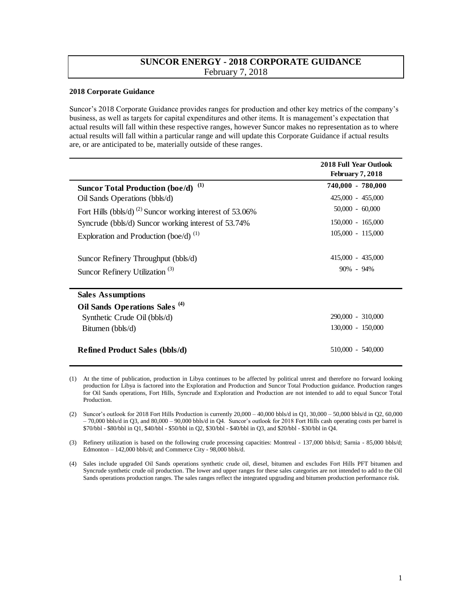## **SUNCOR ENERGY - 2018 CORPORATE GUIDANCE**  February 7, 2018

## **2018 Corporate Guidance**

Suncor's 2018 Corporate Guidance provides ranges for production and other key metrics of the company's business, as well as targets for capital expenditures and other items. It is management's expectation that actual results will fall within these respective ranges, however Suncor makes no representation as to where actual results will fall within a particular range and will update this Corporate Guidance if actual results are, or are anticipated to be, materially outside of these ranges.

|                                                                      | <b>2018 Full Year Outlook</b><br><b>February 7, 2018</b> |
|----------------------------------------------------------------------|----------------------------------------------------------|
| (1)<br><b>Suncor Total Production (boe/d)</b>                        | 740,000 - 780,000                                        |
| Oil Sands Operations (bbls/d)                                        | 425,000 - 455,000                                        |
| Fort Hills (bbls/d) <sup>(2)</sup> Suncor working interest of 53.06% | $50,000 - 60,000$                                        |
| Syncrude (bbls/d) Suncor working interest of 53.74%                  | $150,000 - 165,000$                                      |
| Exploration and Production (boe/d) $^{(1)}$                          | 105,000 - 115,000                                        |
| Suncor Refinery Throughput (bbls/d)                                  | $415,000 - 435,000$                                      |
| Suncor Refinery Utilization <sup>(3)</sup>                           | $90\% - 94\%$                                            |
| <b>Sales Assumptions</b>                                             |                                                          |
| Oil Sands Operations Sales <sup>(4)</sup>                            |                                                          |
| Synthetic Crude Oil (bbls/d)                                         | 290,000 - 310,000                                        |
| Bitumen (bbls/d)                                                     | 130,000 - 150,000                                        |
| <b>Refined Product Sales (bbls/d)</b>                                | 510,000 - 540,000                                        |

<sup>(1)</sup> At the time of publication, production in Libya continues to be affected by political unrest and therefore no forward looking production for Libya is factored into the Exploration and Production and Suncor Total Production guidance. Production ranges for Oil Sands operations, Fort Hills, Syncrude and Exploration and Production are not intended to add to equal Suncor Total Production.

<sup>(2)</sup> Suncor's outlook for 2018 Fort Hills Production is currently 20,000 – 40,000 bbls/d in Q1, 30,000 – 50,000 bbls/d in Q2, 60,000 – 70,000 bbls/d in Q3, and 80,000 – 90,000 bbls/d in Q4. Suncor's outlook for 2018 Fort Hills cash operating costs per barrel is \$70/bbl - \$80/bbl in Q1, \$40/bbl - \$50/bbl in Q2, \$30/bbl - \$40/bbl in Q3, and \$20/bbl - \$30/bbl in Q4.

<sup>(3)</sup> Refinery utilization is based on the following crude processing capacities: Montreal - 137,000 bbls/d; Sarnia - 85,000 bbls/d; Edmonton – 142,000 bbls/d; and Commerce City - 98,000 bbls/d.

<sup>(4)</sup> Sales include upgraded Oil Sands operations synthetic crude oil, diesel, bitumen and excludes Fort Hills PFT bitumen and Syncrude synthetic crude oil production. The lower and upper ranges for these sales categories are not intended to add to the Oil Sands operations production ranges. The sales ranges reflect the integrated upgrading and bitumen production performance risk.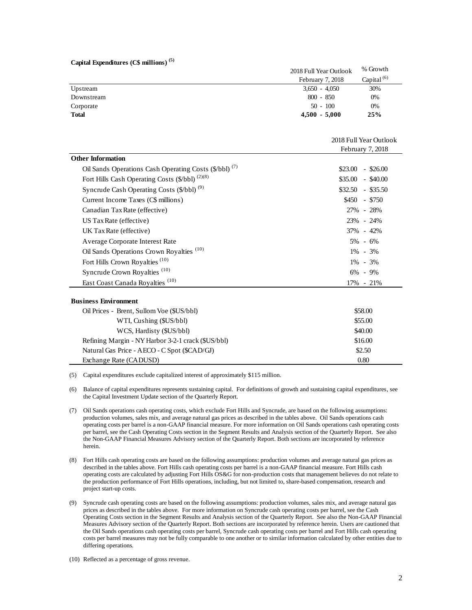|  | Capital Expenditures (C\$ millions) <sup>(5)</sup> |  |  |  |  |  |
|--|----------------------------------------------------|--|--|--|--|--|
|--|----------------------------------------------------|--|--|--|--|--|

|              | 2018 Full Year Outlook | % Growth         |
|--------------|------------------------|------------------|
|              | February 7, 2018       | Capital $^{(6)}$ |
| Upstream     | $3,650 - 4,050$        | 30%              |
| Downstream   | $800 - 850$            | 0%               |
| Corporate    | $50 - 100$             | 0%               |
| <b>Total</b> | $4,500 - 5,000$        | 25%              |

|                         | Capital Expenditures (C\$ millions) <sup>(5)</sup>                                                                                                                                                                                                                                                                                                                                                                                                                                                                                                                                                                                                                                                                                                                                                                           |                                |                        |
|-------------------------|------------------------------------------------------------------------------------------------------------------------------------------------------------------------------------------------------------------------------------------------------------------------------------------------------------------------------------------------------------------------------------------------------------------------------------------------------------------------------------------------------------------------------------------------------------------------------------------------------------------------------------------------------------------------------------------------------------------------------------------------------------------------------------------------------------------------------|--------------------------------|------------------------|
|                         |                                                                                                                                                                                                                                                                                                                                                                                                                                                                                                                                                                                                                                                                                                                                                                                                                              | 2018 Full Year Outlook         | % Growth               |
|                         |                                                                                                                                                                                                                                                                                                                                                                                                                                                                                                                                                                                                                                                                                                                                                                                                                              | February 7, 2018               | Capital <sup>(6)</sup> |
|                         | Upstream                                                                                                                                                                                                                                                                                                                                                                                                                                                                                                                                                                                                                                                                                                                                                                                                                     | $3,650 - 4,050$<br>$800 - 850$ | 30%<br>0%              |
| Downstream<br>Corporate |                                                                                                                                                                                                                                                                                                                                                                                                                                                                                                                                                                                                                                                                                                                                                                                                                              | $50 - 100$                     | 0%                     |
| <b>Total</b>            |                                                                                                                                                                                                                                                                                                                                                                                                                                                                                                                                                                                                                                                                                                                                                                                                                              | $4,500 - 5,000$                | 25%                    |
|                         |                                                                                                                                                                                                                                                                                                                                                                                                                                                                                                                                                                                                                                                                                                                                                                                                                              |                                |                        |
|                         |                                                                                                                                                                                                                                                                                                                                                                                                                                                                                                                                                                                                                                                                                                                                                                                                                              |                                |                        |
|                         |                                                                                                                                                                                                                                                                                                                                                                                                                                                                                                                                                                                                                                                                                                                                                                                                                              |                                | 2018 Full Year Outlook |
|                         | <b>Other Information</b>                                                                                                                                                                                                                                                                                                                                                                                                                                                                                                                                                                                                                                                                                                                                                                                                     |                                | February 7, 2018       |
|                         | Oil Sands Operations Cash Operating Costs (\$/bbl) <sup>(7)</sup>                                                                                                                                                                                                                                                                                                                                                                                                                                                                                                                                                                                                                                                                                                                                                            |                                | $$23.00$ - \$26.00     |
|                         | Fort Hills Cash Operating Costs (\$/bbl) <sup>(2)(8)</sup>                                                                                                                                                                                                                                                                                                                                                                                                                                                                                                                                                                                                                                                                                                                                                                   |                                | $$35.00 - $40.00$      |
|                         | Syncrude Cash Operating Costs (\$/bbl) <sup>(9)</sup>                                                                                                                                                                                                                                                                                                                                                                                                                                                                                                                                                                                                                                                                                                                                                                        |                                | $$32.50 - $35.50$      |
|                         | Current Income Taxes (C\$ millions)                                                                                                                                                                                                                                                                                                                                                                                                                                                                                                                                                                                                                                                                                                                                                                                          |                                | $$450 - $750$          |
|                         |                                                                                                                                                                                                                                                                                                                                                                                                                                                                                                                                                                                                                                                                                                                                                                                                                              |                                |                        |
|                         | Canadian Tax Rate (effective)                                                                                                                                                                                                                                                                                                                                                                                                                                                                                                                                                                                                                                                                                                                                                                                                |                                | 27% - 28%              |
|                         | US Tax Rate (effective)                                                                                                                                                                                                                                                                                                                                                                                                                                                                                                                                                                                                                                                                                                                                                                                                      |                                | 23% - 24%              |
|                         | UK Tax Rate (effective)                                                                                                                                                                                                                                                                                                                                                                                                                                                                                                                                                                                                                                                                                                                                                                                                      |                                | 37% - 42%              |
|                         | Average Corporate Interest Rate                                                                                                                                                                                                                                                                                                                                                                                                                                                                                                                                                                                                                                                                                                                                                                                              |                                | $5\% - 6\%$            |
|                         | Oil Sands Operations Crown Royalties <sup>(10)</sup>                                                                                                                                                                                                                                                                                                                                                                                                                                                                                                                                                                                                                                                                                                                                                                         |                                | 1% - 3%                |
|                         | Fort Hills Crown Royalties <sup>(10)</sup>                                                                                                                                                                                                                                                                                                                                                                                                                                                                                                                                                                                                                                                                                                                                                                                   |                                | 1% - 3%                |
|                         | Syncrude Crown Royalties <sup>(10)</sup>                                                                                                                                                                                                                                                                                                                                                                                                                                                                                                                                                                                                                                                                                                                                                                                     |                                | $6\% - 9\%$            |
|                         | East Coast Canada Royalties <sup>(10)</sup>                                                                                                                                                                                                                                                                                                                                                                                                                                                                                                                                                                                                                                                                                                                                                                                  |                                | 17% - 21%              |
|                         |                                                                                                                                                                                                                                                                                                                                                                                                                                                                                                                                                                                                                                                                                                                                                                                                                              |                                |                        |
|                         | <b>Business Environment</b>                                                                                                                                                                                                                                                                                                                                                                                                                                                                                                                                                                                                                                                                                                                                                                                                  |                                |                        |
|                         | Oil Prices - Brent, Sullom Voe (\$US/bbl)                                                                                                                                                                                                                                                                                                                                                                                                                                                                                                                                                                                                                                                                                                                                                                                    |                                | \$58.00                |
|                         | WTI, Cushing (\$US/bbl)                                                                                                                                                                                                                                                                                                                                                                                                                                                                                                                                                                                                                                                                                                                                                                                                      |                                | \$55.00                |
|                         | WCS, Hardisty (\$US/bbl)                                                                                                                                                                                                                                                                                                                                                                                                                                                                                                                                                                                                                                                                                                                                                                                                     |                                | \$40.00                |
|                         | Refining Margin - NY Harbor 3-2-1 crack (\$US/bbl)                                                                                                                                                                                                                                                                                                                                                                                                                                                                                                                                                                                                                                                                                                                                                                           |                                | \$16.00                |
|                         | Natural Gas Price - AECO - C Spot (\$CAD/GJ)<br>Exchange Rate (CADUSD)                                                                                                                                                                                                                                                                                                                                                                                                                                                                                                                                                                                                                                                                                                                                                       |                                | \$2.50<br>0.80         |
|                         |                                                                                                                                                                                                                                                                                                                                                                                                                                                                                                                                                                                                                                                                                                                                                                                                                              |                                |                        |
| (5)                     | Capital expenditures exclude capitalized interest of approximately \$115 million.                                                                                                                                                                                                                                                                                                                                                                                                                                                                                                                                                                                                                                                                                                                                            |                                |                        |
| (6)                     | Balance of capital expenditures represents sustaining capital. For definitions of growth and sustaining capital expenditures, see<br>the Capital Investment Update section of the Quarterly Report.                                                                                                                                                                                                                                                                                                                                                                                                                                                                                                                                                                                                                          |                                |                        |
| (7)                     | Oil Sands operations cash operating costs, which exclude Fort Hills and Syncrude, are based on the following assumptions:<br>production volumes, sales mix, and average natural gas prices as described in the tables above. Oil Sands operations cash<br>operating costs per barrel is a non-GAAP financial measure. For more information on Oil Sands operations cash operating costs<br>per barrel, see the Cash Operating Costs section in the Segment Results and Analysis section of the Quarterly Report. See also<br>the Non-GAAP Financial Measures Advisory section of the Quarterly Report. Both sections are incorporated by reference<br>herein.                                                                                                                                                                |                                |                        |
| (8)                     | Fort Hills cash operating costs are based on the following assumptions: production volumes and average natural gas prices as<br>described in the tables above. Fort Hills cash operating costs per barrel is a non-GAAP financial measure. Fort Hills cash<br>operating costs are calculated by adjusting Fort Hills OS&G for non-production costs that management believes do not relate to<br>the production performance of Fort Hills operations, including, but not limited to, share-based compensation, research and<br>project start-up costs.                                                                                                                                                                                                                                                                        |                                |                        |
| (9)                     | Syncrude cash operating costs are based on the following assumptions: production volumes, sales mix, and average natural gas<br>prices as described in the tables above. For more information on Syncrude cash operating costs per barrel, see the Cash<br>Operating Costs section in the Segment Results and Analysis section of the Quarterly Report. See also the Non-GAAP Financia<br>Measures Advisory section of the Quarterly Report. Both sections are incorporated by reference herein. Users are cautioned that<br>the Oil Sands operations cash operating costs per barrel, Syncrude cash operating costs per barrel and Fort Hills cash operating<br>costs per barrel measures may not be fully comparable to one another or to similar information calculated by other entities due to<br>differing operations. |                                |                        |
|                         | (10) Reflected as a percentage of gross revenue.                                                                                                                                                                                                                                                                                                                                                                                                                                                                                                                                                                                                                                                                                                                                                                             |                                |                        |

| разнісээ гляганийн                                 |         |  |  |
|----------------------------------------------------|---------|--|--|
| Oil Prices - Brent, Sullom Voe (\$US/bbl)          | \$58.00 |  |  |
| WTI, Cushing (\$US/bbl)                            | \$55.00 |  |  |
| WCS, Hardisty (\$US/bbl)                           | \$40.00 |  |  |
| Refining Margin - NY Harbor 3-2-1 crack (\$US/bbl) | \$16.00 |  |  |
| Natural Gas Price - AECO - C Spot (\$CAD/GJ)       | \$2.50  |  |  |
| Exchange Rate (CADUSD)                             | 0.80    |  |  |

- (7) Oil Sands operations cash operating costs, which exclude Fort Hills and Syncrude, are based on the following assumptions: production volumes, sales mix, and average natural gas prices as described in the tables above. Oil Sands operations cash operating costs per barrel is a non-GAAP financial measure. For more information on Oil Sands operations cash operating costs per barrel, see the Cash Operating Costs section in the Segment Results and Analysis section of the Quarterly Report. See also the Non-GAAP Financial Measures Advisory section of the Quarterly Report. Both sections are incorporated by reference herein.
- (8) Fort Hills cash operating costs are based on the following assumptions: production volumes and average natural gas prices as described in the tables above. Fort Hills cash operating costs per barrel is a non-GAAP financial measure. Fort Hills cash operating costs are calculated by adjusting Fort Hills OS&G for non-production costs that management believes do not relate to the production performance of Fort Hills operations, including, but not limited to, share-based compensation, research and project start-up costs.
- (9) Syncrude cash operating costs are based on the following assumptions: production volumes, sales mix, and average natural gas prices as described in the tables above. For more information on Syncrude cash operating costs per barrel, see the Cash Operating Costs section in the Segment Results and Analysis section of the Quarterly Report. See also the Non-GAAP Financial Measures Advisory section of the Quarterly Report. Both sections are incorporated by reference herein. Users are cautioned that the Oil Sands operations cash operating costs per barrel, Syncrude cash operating costs per barrel and Fort Hills cash operating costs per barrel measures may not be fully comparable to one another or to similar information calculated by other entities due to differing operations.
-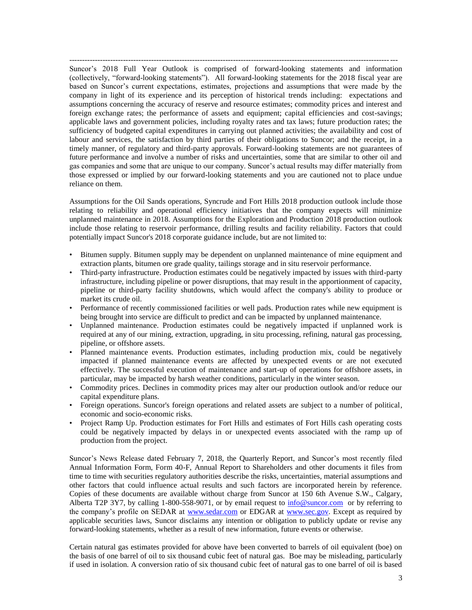-------------------------------------------------------------------------------------------------------------------------------- Suncor's 2018 Full Year Outlook is comprised of forward-looking statements and information (collectively, "forward-looking statements"). All forward-looking statements for the 2018 fiscal year are based on Suncor's current expectations, estimates, projections and assumptions that were made by the company in light of its experience and its perception of historical trends including: expectations and assumptions concerning the accuracy of reserve and resource estimates; commodity prices and interest and foreign exchange rates; the performance of assets and equipment; capital efficiencies and cost-savings; applicable laws and government policies, including royalty rates and tax laws; future production rates; the sufficiency of budgeted capital expenditures in carrying out planned activities; the availability and cost of labour and services, the satisfaction by third parties of their obligations to Suncor; and the receipt, in a timely manner, of regulatory and third-party approvals. Forward-looking statements are not guarantees of future performance and involve a number of risks and uncertainties, some that are similar to other oil and gas companies and some that are unique to our company. Suncor's actual results may differ materially from those expressed or implied by our forward-looking statements and you are cautioned not to place undue reliance on them.

Assumptions for the Oil Sands operations, Syncrude and Fort Hills 2018 production outlook include those relating to reliability and operational efficiency initiatives that the company expects will minimize unplanned maintenance in 2018. Assumptions for the Exploration and Production 2018 production outlook include those relating to reservoir performance, drilling results and facility reliability. Factors that could potentially impact Suncor's 2018 corporate guidance include, but are not limited to:

- Bitumen supply. Bitumen supply may be dependent on unplanned maintenance of mine equipment and extraction plants, bitumen ore grade quality, tailings storage and in situ reservoir performance.
- Third-party infrastructure. Production estimates could be negatively impacted by issues with third-party infrastructure, including pipeline or power disruptions, that may result in the apportionment of capacity, pipeline or third-party facility shutdowns, which would affect the company's ability to produce or market its crude oil.
- Performance of recently commissioned facilities or well pads. Production rates while new equipment is being brought into service are difficult to predict and can be impacted by unplanned maintenance.
- Unplanned maintenance. Production estimates could be negatively impacted if unplanned work is required at any of our mining, extraction, upgrading, in situ processing, refining, natural gas processing, pipeline, or offshore assets.
- Planned maintenance events. Production estimates, including production mix, could be negatively impacted if planned maintenance events are affected by unexpected events or are not executed effectively. The successful execution of maintenance and start-up of operations for offshore assets, in particular, may be impacted by harsh weather conditions, particularly in the winter season.
- Commodity prices. Declines in commodity prices may alter our production outlook and/or reduce our capital expenditure plans.
- Foreign operations. Suncor's foreign operations and related assets are subject to a number of political, economic and socio-economic risks.
- Project Ramp Up. Production estimates for Fort Hills and estimates of Fort Hills cash operating costs could be negatively impacted by delays in or unexpected events associated with the ramp up of production from the project.

Suncor's News Release dated February 7, 2018, the Quarterly Report, and Suncor's most recently filed Annual Information Form, Form 40-F, Annual Report to Shareholders and other documents it files from time to time with securities regulatory authorities describe the risks, uncertainties, material assumptions and other factors that could influence actual results and such factors are incorporated herein by reference. Copies of these documents are available without charge from Suncor at 150 6th Avenue S.W., Calgary, Alberta T2P 3Y7, by calling 1-800-558-9071, or by email request to [info@suncor.com](mailto:info@suncor.com) or by referring to the company's profile on SEDAR at [www.sedar.com](http://www.sedar.com/) or EDGAR at [www.sec.gov.](http://www.sec.gov/) Except as required by applicable securities laws, Suncor disclaims any intention or obligation to publicly update or revise any forward-looking statements, whether as a result of new information, future events or otherwise.

Certain natural gas estimates provided for above have been converted to barrels of oil equivalent (boe) on the basis of one barrel of oil to six thousand cubic feet of natural gas. Boe may be misleading, particularly if used in isolation. A conversion ratio of six thousand cubic feet of natural gas to one barrel of oil is based